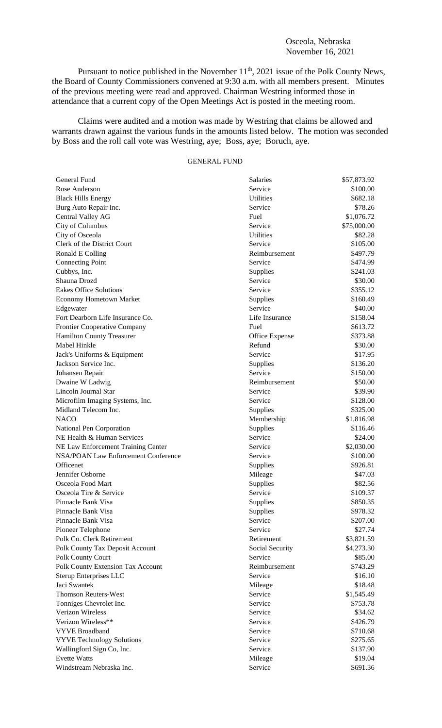Pursuant to notice published in the November  $11^{th}$ , 2021 issue of the Polk County News, the Board of County Commissioners convened at 9:30 a.m. with all members present. Minutes of the previous meeting were read and approved. Chairman Westring informed those in attendance that a current copy of the Open Meetings Act is posted in the meeting room.

Claims were audited and a motion was made by Westring that claims be allowed and warrants drawn against the various funds in the amounts listed below. The motion was seconded by Boss and the roll call vote was Westring, aye; Boss, aye; Boruch, aye.

## GENERAL FUND

| General Fund                                   | Salaries                   | \$57,873.92              |
|------------------------------------------------|----------------------------|--------------------------|
| Rose Anderson                                  | Service                    | \$100.00                 |
| <b>Black Hills Energy</b>                      | <b>Utilities</b>           | \$682.18                 |
| Burg Auto Repair Inc.                          | Service                    | \$78.26                  |
| Central Valley AG                              | Fuel                       | \$1,076.72               |
| City of Columbus                               | Service                    | \$75,000.00              |
| City of Osceola                                | <b>Utilities</b>           | \$82.28                  |
| Clerk of the District Court                    | Service                    | \$105.00                 |
| Ronald E Colling                               | Reimbursement              | \$497.79                 |
| <b>Connecting Point</b>                        | Service                    | \$474.99                 |
| Cubbys, Inc.                                   | Supplies                   | \$241.03                 |
| Shauna Drozd                                   | Service                    | \$30.00                  |
| <b>Eakes Office Solutions</b>                  | Service                    | \$355.12                 |
| <b>Economy Hometown Market</b>                 | Supplies                   | \$160.49                 |
| Edgewater                                      | Service                    | \$40.00                  |
| Fort Dearborn Life Insurance Co.               | Life Insurance             | \$158.04                 |
| Frontier Cooperative Company                   | Fuel                       | \$613.72                 |
| <b>Hamilton County Treasurer</b>               | Office Expense             | \$373.88                 |
| Mabel Hinkle                                   | Refund                     | \$30.00                  |
| Jack's Uniforms & Equipment                    | Service                    | \$17.95                  |
| Jackson Service Inc.                           | Supplies                   | \$136.20                 |
| Johansen Repair                                | Service                    | \$150.00                 |
| Dwaine W Ladwig                                | Reimbursement              | \$50.00                  |
| Lincoln Journal Star                           | Service                    | \$39.90                  |
| Microfilm Imaging Systems, Inc.                | Service                    | \$128.00                 |
| Midland Telecom Inc.                           | Supplies                   | \$325.00                 |
| <b>NACO</b>                                    | Membership                 | \$1,816.98               |
| National Pen Corporation                       | Supplies                   | \$116.46                 |
| NE Health & Human Services                     | Service                    | \$24.00                  |
| NE Law Enforcement Training Center             | Service                    | \$2,030.00               |
| <b>NSA/POAN Law Enforcement Conference</b>     | Service                    | \$100.00                 |
| Officenet                                      | Supplies                   | \$926.81                 |
| Jennifer Osborne                               | Mileage                    | \$47.03                  |
| Osceola Food Mart                              | Supplies                   | \$82.56                  |
| Osceola Tire & Service                         | Service                    | \$109.37                 |
| Pinnacle Bank Visa                             | Supplies                   | \$850.35                 |
| Pinnacle Bank Visa                             |                            | \$978.32                 |
| Pinnacle Bank Visa                             | Supplies<br>Service        |                          |
|                                                | Service                    | \$207.00<br>\$27.74      |
| Pioneer Telephone<br>Polk Co. Clerk Retirement | Retirement                 |                          |
|                                                |                            | \$3,821.59<br>\$4,273.30 |
| Polk County Tax Deposit Account                | Social Security<br>Service | \$85.00                  |
| Polk County Court                              |                            |                          |
| Polk County Extension Tax Account              | Reimbursement<br>Service   | \$743.29                 |
| <b>Sterup Enterprises LLC</b>                  |                            | \$16.10                  |
| Jaci Swantek                                   | Mileage                    | \$18.48                  |
| <b>Thomson Reuters-West</b>                    | Service                    | \$1,545.49               |
| Tonniges Chevrolet Inc.                        | Service                    | \$753.78                 |
| Verizon Wireless                               | Service                    | \$34.62                  |
| Verizon Wireless**                             | Service                    | \$426.79                 |
| <b>VYVE Broadband</b>                          | Service                    | \$710.68                 |
| <b>VYVE Technology Solutions</b>               | Service                    | \$275.65                 |
| Wallingford Sign Co, Inc.                      | Service                    | \$137.90                 |
| <b>Evette Watts</b>                            | Mileage                    | \$19.04                  |
| Windstream Nebraska Inc.                       | Service                    | \$691.36                 |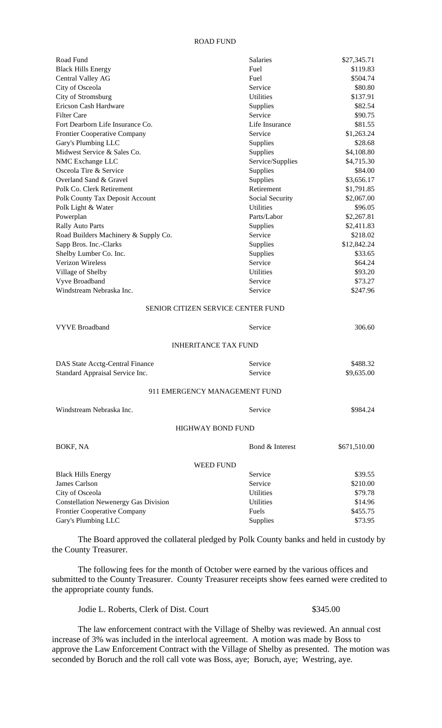## ROAD FUND

| Road Fund                                   | Salaries                           | \$27,345.71  |
|---------------------------------------------|------------------------------------|--------------|
| <b>Black Hills Energy</b>                   | Fuel                               | \$119.83     |
| Central Valley AG                           | Fuel                               | \$504.74     |
| City of Osceola                             | Service                            | \$80.80      |
| City of Stromsburg                          | <b>Utilities</b>                   | \$137.91     |
| Ericson Cash Hardware                       | Supplies                           | \$82.54      |
| <b>Filter Care</b>                          | Service                            | \$90.75      |
| Fort Dearborn Life Insurance Co.            | Life Insurance                     | \$81.55      |
| <b>Frontier Cooperative Company</b>         | Service                            | \$1,263.24   |
| Gary's Plumbing LLC                         | Supplies                           | \$28.68      |
| Midwest Service & Sales Co.                 | Supplies                           | \$4,108.80   |
| NMC Exchange LLC                            | Service/Supplies                   | \$4,715.30   |
| Osceola Tire & Service                      | Supplies                           | \$84.00      |
| Overland Sand & Gravel                      | Supplies                           | \$3,656.17   |
| Polk Co. Clerk Retirement                   | Retirement                         | \$1,791.85   |
| Polk County Tax Deposit Account             | Social Security                    | \$2,067.00   |
| Polk Light & Water                          | <b>Utilities</b>                   | \$96.05      |
| Powerplan                                   | Parts/Labor                        | \$2,267.81   |
| Rally Auto Parts                            | Supplies                           | \$2,411.83   |
| Road Builders Machinery & Supply Co.        | Service                            | \$218.02     |
| Sapp Bros. Inc.-Clarks                      | Supplies                           | \$12,842.24  |
| Shelby Lumber Co. Inc.                      | Supplies                           | \$33.65      |
| Verizon Wireless                            | Service                            | \$64.24      |
| Village of Shelby                           | <b>Utilities</b>                   | \$93.20      |
| Vyve Broadband                              | Service                            | \$73.27      |
| Windstream Nebraska Inc.                    | Service                            | \$247.96     |
|                                             | SENIOR CITIZEN SERVICE CENTER FUND |              |
| <b>VYVE Broadband</b>                       | Service                            | 306.60       |
|                                             |                                    |              |
|                                             | <b>INHERITANCE TAX FUND</b>        |              |
| DAS State Acctg-Central Finance             | Service                            | \$488.32     |
| Standard Appraisal Service Inc.             | Service                            | \$9,635.00   |
|                                             | 911 EMERGENCY MANAGEMENT FUND      |              |
| Windstream Nebraska Inc.                    | Service                            | \$984.24     |
|                                             |                                    |              |
|                                             | <b>HIGHWAY BOND FUND</b>           |              |
| BOKF, NA                                    | Bond & Interest                    | \$671,510.00 |
|                                             | WEED FUND                          |              |
| <b>Black Hills Energy</b>                   | Service                            | \$39.55      |
| James Carlson                               | Service                            | \$210.00     |
| City of Osceola                             | <b>Utilities</b>                   | \$79.78      |
| <b>Constellation Newenergy Gas Division</b> | Utilities                          | \$14.96      |
| <b>Frontier Cooperative Company</b>         | Fuels                              | \$455.75     |
| Gary's Plumbing LLC                         | Supplies                           | \$73.95      |

The Board approved the collateral pledged by Polk County banks and held in custody by the County Treasurer.

The following fees for the month of October were earned by the various offices and submitted to the County Treasurer. County Treasurer receipts show fees earned were credited to the appropriate county funds.

Jodie L. Roberts, Clerk of Dist. Court \$345.00

The law enforcement contract with the Village of Shelby was reviewed. An annual cost increase of 3% was included in the interlocal agreement. A motion was made by Boss to approve the Law Enforcement Contract with the Village of Shelby as presented. The motion was seconded by Boruch and the roll call vote was Boss, aye; Boruch, aye; Westring, aye.